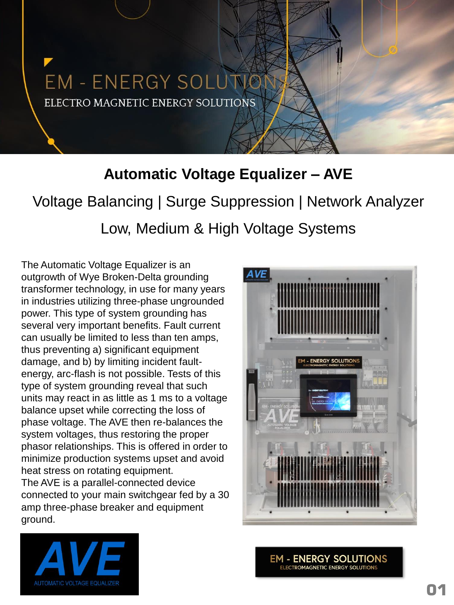# **EM - ENERGY SOLUN** ELECTRO MAGNETIC ENERGY SOLUTIONS

### **Automatic Voltage Equalizer – AVE**

Voltage Balancing | Surge Suppression | Network Analyzer Low, Medium & High Voltage Systems

The Automatic Voltage Equalizer is an outgrowth of Wye Broken-Delta grounding transformer technology, in use for many years in industries utilizing three-phase ungrounded power. This type of system grounding has several very important benefits. Fault current can usually be limited to less than ten amps, thus preventing a) significant equipment damage, and b) by limiting incident faultenergy, arc-flash is not possible. Tests of this type of system grounding reveal that such units may react in as little as 1 ms to a voltage balance upset while correcting the loss of phase voltage. The AVE then re-balances the system voltages, thus restoring the proper phasor relationships. This is offered in order to minimize production systems upset and avoid heat stress on rotating equipment. The AVE is a parallel-connected device connected to your main switchgear fed by a 30 amp three-phase breaker and equipment ground.





**EM - ENERGY SOLUTIONS ELECTROMAGNETIC ENERGY SOLUTIONS**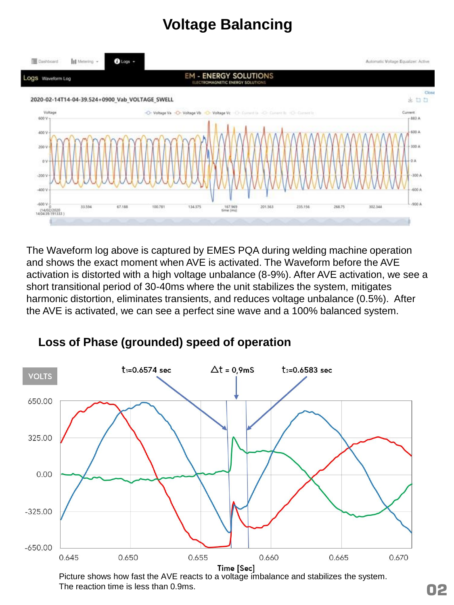### **Voltage Balancing**



The Waveform log above is captured by EMES PQA during welding machine operation and shows the exact moment when AVE is activated. The Waveform before the AVE activation is distorted with a high voltage unbalance (8-9%). After AVE activation, we see a short transitional period of 30-40ms where the unit stabilizes the system, mitigates harmonic distortion, eliminates transients, and reduces voltage unbalance (0.5%). After the AVE is activated, we can see a perfect sine wave and a 100% balanced system.



**Loss of Phase (grounded) speed of operation**

Picture shows how fast the AVE reacts to a voltage imbalance and stabilizes the system. The reaction time is less than 0.9ms.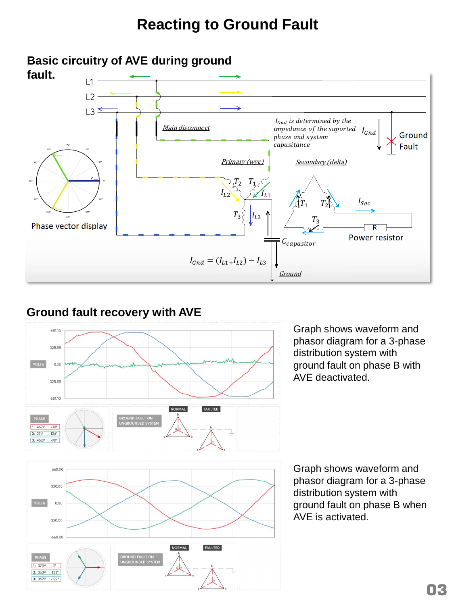#### **Reacting to Ground Fault**



#### **Ground fault recovery with AVE**



Graph shows waveform and phasor diagram for a 3-phase distribution system with ground fault on phase B with AVE deactivated.

Graph shows waveform and phasor diagram for a 3-phase distribution system with ground fault on phase B when AVE is activated.